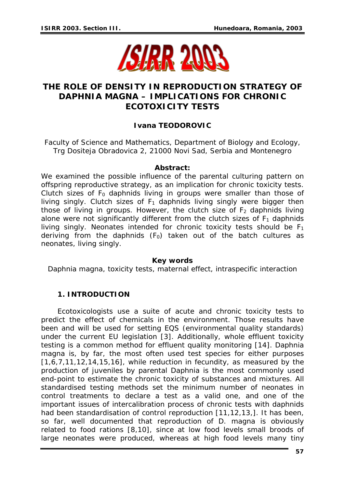

# **THE ROLE OF DENSITY IN REPRODUCTION STRATEGY OF**  *DAPHNIA MAGNA* **– IMPLICATIONS FOR CHRONIC ECOTOXICITY TESTS**

## **Ivana TEODOROVIC**

Faculty of Science and Mathematics, Department of Biology and Ecology, Trg Dositeja Obradovica 2, 21000 Novi Sad, Serbia and Montenegro

#### *Abstract:*

*We examined the possible influence of the parental culturing pattern on offspring reproductive strategy, as an implication for chronic toxicity tests. Clutch sizes of*  $F_0$  *daphnids living in groups were smaller than those of living singly. Clutch sizes of*  $F_1$  *daphnids living singly were bigger then those of living in groups. However, the clutch size of*  $F<sub>2</sub>$  *daphnids living* alone were not significantly different from the clutch sizes of  $F_1$  daphnids *living singly. Neonates intended for chronic toxicity tests should be F1 deriving from the daphnids (F0) taken out of the batch cultures as neonates, living singly.* 

### *Key words*

*Daphnia magna, toxicity tests, maternal effect, intraspecific interaction* 

### **1. INTRODUCTION**

Ecotoxicologists use a suite of acute and chronic toxicity tests to predict the effect of chemicals in the environment. Those results have been and will be used for setting EQS (environmental quality standards) under the current EU legislation [3]. Additionally, whole effluent toxicity testing is a common method for effluent quality monitoring [14]. *Daphnia magna* is, by far, the most often used test species for either purposes  $[1,6,7,11,12,14,15,16]$ , while reduction in fecundity, as measured by the production of juveniles by parental Daphnia is the most commonly used end-point to estimate the chronic toxicity of substances and mixtures. All standardised testing methods set the minimum number of neonates in control treatments to declare a test as a valid one, and one of the important issues of intercalibration process of chronic tests with daphnids had been standardisation of control reproduction [11,12,13,]. It has been, so far, well documented that reproduction of *D. magna* is obviously related to food rations [8,10], since at low food levels small broods of large neonates were produced, whereas at high food levels many tiny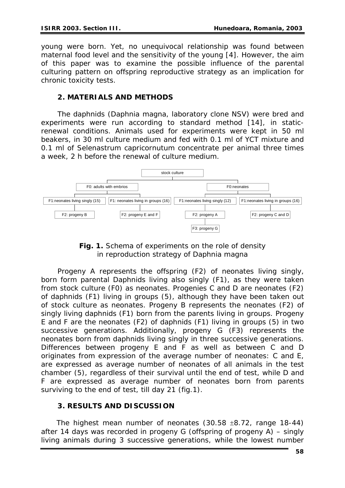young were born. Yet, no unequivocal relationship was found between maternal food level and the sensitivity of the young [4]. However, the aim of this paper was to examine the possible influence of the parental culturing pattern on offspring reproductive strategy as an implication for chronic toxicity tests.

## **2. MATERIALS AND METHODS**

 The daphnids (*Daphnia magna*, laboratory clone NSV) were bred and experiments were run according to standard method [14], in staticrenewal conditions. Animals used for experiments were kept in 50 ml beakers, in 30 ml culture medium and fed with 0.1 ml of YCT mixture and 0.1 ml of *Selenastrum capricornutum* concentrate per animal three times a week, 2 h before the renewal of culture medium.



*Fig. 1. Schema of experiments on the role of density in reproduction strategy of Daphnia magna* 

 Progeny A represents the offspring (F2) of neonates living singly, born form parental Daphnids living also singly (F1), as they were taken from stock culture (F0) as neonates. Progenies C and D are neonates (F2) of daphnids (F1) living in groups (5), although they have been taken out of stock culture as neonates. Progeny B represents the neonates (F2) of singly living daphnids (F1) born from the parents living in groups. Progeny E and F are the neonates (F2) of daphnids (F1) living in groups (5) in two successive generations. Additionally, progeny G (F3) represents the neonates born from daphnids living singly in three successive generations. Differences between progeny E and F as well as between C and D originates from expression of the average number of neonates: C and E, are expressed as average number of neonates of all animals in the test chamber (5), regardless of their survival until the end of test, while D and F are expressed as average number of neonates born from parents surviving to the end of test, till day 21 (fig.1).

## **3. RESULTS AND DISCUSSION**

 The highest mean number of neonates (30.58 ±8.72, range 18-44) after 14 days was recorded in progeny G (offspring of progeny A) – singly living animals during 3 successive generations, while the lowest number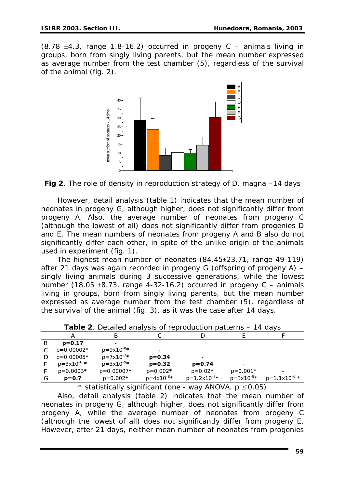$(8.78 \pm 4.3,$  range 1.8-16.2) occurred in progeny C – animals living in groups, born from singly living parents, but the mean number expressed as average number from the test chamber (5), regardless of the survival of the animal (fig. 2).



*Fig 2. The role of density in reproduction strategy of D. magna –14 days* 

 However, detail analysis (table 1) indicates that the mean number of neonates in progeny G, although higher, does not significantly differ from progeny A. Also, the average number of neonates from progeny C (although the lowest of all) does not significantly differ from progenies D and E. The mean numbers of neonates from progeny A and B also do not significantly differ each other, in spite of the unlike origin of the animals used in experiment (fig. 1).

 The highest mean number of neonates (84.45±23.71, range 49-119) after 21 days was again recorded in progeny G (offspring of progeny A) – singly living animals during 3 successive generations, while the lowest number (18.05  $\pm$ 8.73, range 4-32-16.2) occurred in progeny C – animals living in groups, born from singly living parents, but the mean number expressed as average number from the test chamber (5), regardless of the survival of the animal (fig. 3), as it was the case after 14 days.

| <b>Table 2.</b> Detailed analysis of Teproduction patterns<br>- IT UU VJ |                          |                          |                          |                   |                          |                   |  |  |
|--------------------------------------------------------------------------|--------------------------|--------------------------|--------------------------|-------------------|--------------------------|-------------------|--|--|
|                                                                          |                          |                          |                          |                   |                          |                   |  |  |
|                                                                          | $p = 0.17$               |                          |                          |                   |                          |                   |  |  |
|                                                                          | $p=0.00002*$             | $p = 9x10^{-8}$ *        |                          |                   |                          |                   |  |  |
|                                                                          | $p=0.00005*$             | $p = 7 \times 10^{-7}$ * | $p = 0.34$               |                   |                          |                   |  |  |
|                                                                          | $p = 3 \times 10^{-6}$ * | $p = 3 \times 10^{-9}$ * | $p = 0.32$               | $p = 0.74$        |                          |                   |  |  |
|                                                                          | $p=0.0003*$              | $p=0.00007*$             | $p=0.002*$               | $p=0.02*$         | $p=0.001*$               |                   |  |  |
| G                                                                        | $p = 0.7$                | $p=0.002*$               | $p = 4 \times 10^{-8}$ * | $p=1.2x10^{-7}$ * | $p = 3 \times 10^{-9}$ * | $p=1.1x10^{-6}$ * |  |  |

*Table 2*. *Detailed analysis of reproduction patterns – 14 days*

*\* statistically significant (one - way ANOVA, p* ≤ *0.05)* 

 Also, detail analysis (table 2) indicates that the mean number of neonates in progeny G, although higher, does not significantly differ from progeny A, while the average number of neonates from progeny C (although the lowest of all) does not significantly differ from progeny E. However, after 21 days, neither mean number of neonates from progenies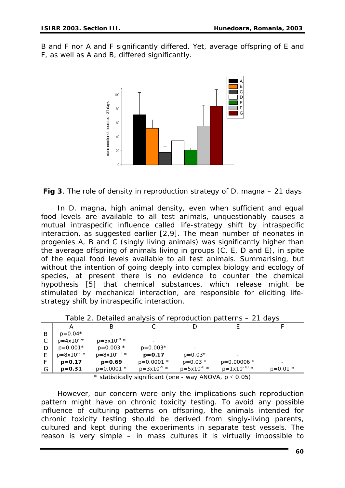B and F nor A and F significantly differed. Yet, average offspring of E and F, as well as A and B, differed significantly.



## *Fig 3. The role of density in reproduction strategy of D. magna – 21 days*

 In *D. magna,* high animal density, even when sufficient and equal food levels are available to all test animals, unquestionably causes a mutual intraspecific influence called life-strategy shift by intraspecific interaction, as suggested earlier [2,9]. The mean number of neonates in progenies A, B and C (singly living animals) was significantly higher than the average offspring of animals living in groups (C, E, D and E), in spite of the equal food levels available to all test animals. Summarising, but without the intention of going deeply into complex biology and ecology of species, at present there is no evidence to counter the chemical hypothesis [5] that chemical substances, which release might be stimulated by mechanical interaction, are responsible for eliciting lifestrategy shift by intraspecific interaction.

|                                                            | А                        | В                        |                 |                          |                  |            |  |
|------------------------------------------------------------|--------------------------|--------------------------|-----------------|--------------------------|------------------|------------|--|
| B                                                          | $p=0.04*$                |                          |                 |                          |                  |            |  |
|                                                            | $p = 4 \times 10^{-6}$ * | $p = 5 \times 10^{-9}$ * |                 |                          |                  |            |  |
|                                                            | $p=0.001*$               | $p=0.003$ *              | $p=0.003*$      |                          |                  |            |  |
|                                                            | $p=8x10^{-7}$ *          | $p=8x10^{-11}$ *         | $p = 0.17$      | $p=0.03*$                |                  |            |  |
|                                                            | $p = 0.17$               | $p = 0.69$               | $p=0.0001$ *    | $p=0.03$ *               | $p=0.00006$ *    |            |  |
| G                                                          | $p = 0.31$               | $p=0.0001$ *             | $p=3x10^{-9}$ * | $p = 5 \times 10^{-6}$ * | $p=1x10^{-10}$ * | $p=0.01$ * |  |
| $\star$ statistically significant (spearation) $\Lambda N$ |                          |                          |                 |                          |                  |            |  |

|  |  |  |  |  | Table 2. Detailed analysis of reproduction patterns - 21 days |  |  |  |  |
|--|--|--|--|--|---------------------------------------------------------------|--|--|--|--|
|--|--|--|--|--|---------------------------------------------------------------|--|--|--|--|

statistically significant (one - way ANOVA,  $p \le 0.05$ )

 However, our concern were only the implications such reproduction pattern might have on chronic toxicity testing. To avoid any possible influence of culturing patterns on offspring, the animals intended for chronic toxicity testing should be derived from singly-living parents, cultured and kept during the experiments in separate test vessels. The reason is very simple – in mass cultures it is virtually impossible to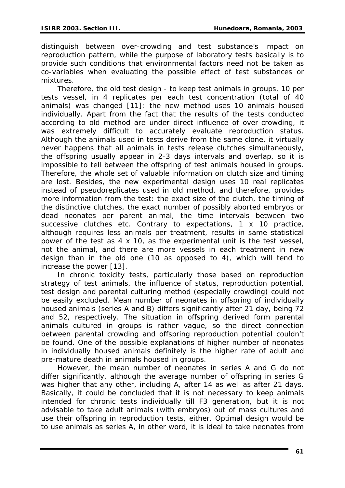distinguish between over-crowding and test substance's impact on reproduction pattern, while the purpose of laboratory tests basically is to provide such conditions that environmental factors need not be taken as co-variables when evaluating the possible effect of test substances or mixtures.

 Therefore, the old test design - to keep test animals in groups, 10 per tests vessel, in 4 replicates per each test concentration (total of 40 animals) was changed [11]: the new method uses 10 animals housed individually. Apart from the fact that the results of the tests conducted according to old method are under direct influence of over-crowding, it was extremely difficult to accurately evaluate reproduction status. Although the animals used in tests derive from the same clone, it virtually never happens that all animals in tests release clutches simultaneously, the offspring usually appear in 2-3 days intervals and overlap, so it is impossible to tell between the offspring of test animals housed in groups. Therefore, the whole set of valuable information on clutch size and timing are lost. Besides, the new experimental design uses 10 real replicates instead of pseudoreplicates used in old method, and therefore, provides more information from the test: the exact size of the clutch, the timing of the distinctive clutches, the exact number of possibly aborted embryos or dead neonates per parent animal, the time intervals between two successive clutches etc. Contrary to expectations, 1 x 10 practice, although requires less animals per treatment, results in same statistical power of the test as 4 x 10, as the experimental unit is the test vessel, not the animal, and there are more vessels in each treatment in new design than in the old one (10 as opposed to 4), which will tend to increase the power [13].

 In chronic toxicity tests, particularly those based on reproduction strategy of test animals, the influence of status, reproduction potential, test design and parental culturing method (especially crowding) could not be easily excluded. Mean number of neonates in offspring of individually housed animals (series A and B) differs significantly after 21 day, being 72 and 52, respectively. The situation in offspring derived form parental animals cultured in groups is rather vague, so the direct connection between parental crowding and offspring reproduction potential couldn't be found. One of the possible explanations of higher number of neonates in individually housed animals definitely is the higher rate of adult and pre-mature death in animals housed in groups.

 However, the mean number of neonates in series A and G do not differ significantly, although the average number of offspring in series G was higher that any other, including A, after 14 as well as after 21 days. Basically, it could be concluded that it is not necessary to keep animals intended for chronic tests individually till F3 generation, but it is not advisable to take adult animals (with embryos) out of mass cultures and use their offspring in reproduction tests, either. Optimal design would be to use animals as series A, in other word, it is ideal to take neonates from